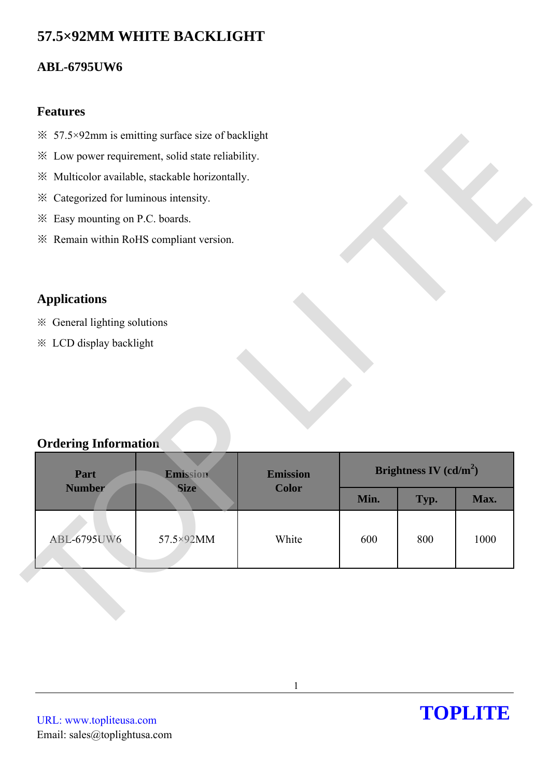# **57.5×92MM WHITE BACKLIGHT**

## **ABL-6795UW6**

#### **Features**

- $\frac{3}{2}$  57.5×92mm is emitting surface size of backlight
- ※ Low power requirement, solid state reliability.
- ※ Multicolor available, stackable horizontally.
- ※ Categorized for luminous intensity.
- ※ Easy mounting on P.C. boards.
- ※ Remain within RoHS compliant version.

## **Applications**

- ※ General lighting solutions
- ※ LCD display backlight

## **Ordering Information**

| im ≭ 57.5×92mm is emitting surface size of backlight           |                                                   |                 |      |                          |      |
|----------------------------------------------------------------|---------------------------------------------------|-----------------|------|--------------------------|------|
|                                                                | * Low power requirement, solid state reliability. |                 |      |                          |      |
|                                                                | ※ Multicolor available, stackable horizontally.   |                 |      |                          |      |
| * Categorized for luminous intensity.                          |                                                   |                 |      |                          |      |
| * Easy mounting on P.C. boards.                                |                                                   |                 |      |                          |      |
| * Remain within RoHS compliant version.                        |                                                   |                 |      |                          |      |
|                                                                |                                                   |                 |      |                          |      |
| <b>Applications</b>                                            |                                                   |                 |      |                          |      |
|                                                                |                                                   |                 |      |                          |      |
| ※ General lighting solutions<br><b>※ LCD display backlight</b> |                                                   |                 |      |                          |      |
|                                                                |                                                   |                 |      |                          |      |
|                                                                |                                                   |                 |      |                          |      |
|                                                                |                                                   |                 |      |                          |      |
|                                                                |                                                   |                 |      |                          |      |
|                                                                |                                                   |                 |      |                          |      |
|                                                                |                                                   |                 |      |                          |      |
| <b>Ordering Information</b><br>Part                            | Emission                                          | <b>Emission</b> |      | Brightness IV $(cd/m^2)$ |      |
| <b>Number</b>                                                  | <b>Size</b>                                       | <b>Color</b>    | Min. | Typ.                     | Max. |
|                                                                |                                                   |                 |      |                          |      |
| <b>ABL-6795UW6</b>                                             | 57.5×92MM                                         | White           | 600  | 800                      | 1000 |

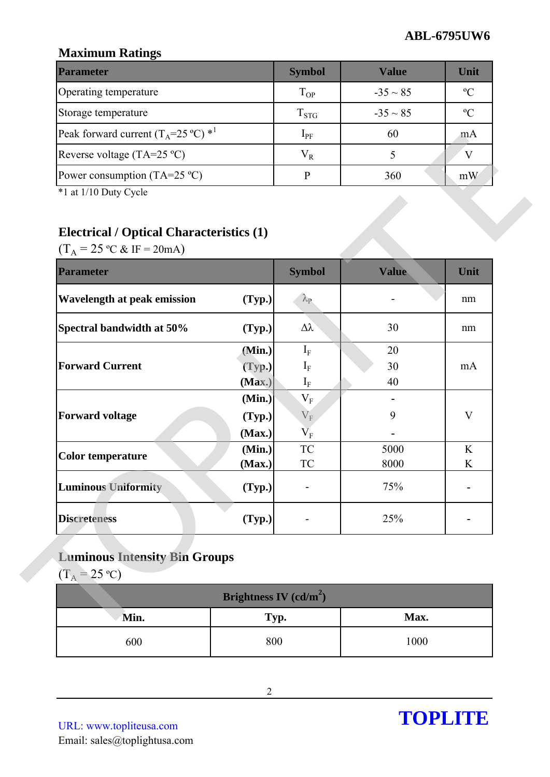## **Maximum Ratings**

| <b>Parameter</b>                                         | <b>Symbol</b> | Value         | Unit          |
|----------------------------------------------------------|---------------|---------------|---------------|
| Operating temperature                                    | $T_{OP}$      | $-35 \sim 85$ | $\mathcal{O}$ |
| Storage temperature                                      | $T_{STG}$     | $-35 \sim 85$ | $\mathcal{C}$ |
| Peak forward current $(T_A=25 \degree C)$ * <sup>1</sup> | $1_{\rm PF}$  | 60            | m A           |
| Reverse voltage $(TA=25 \degree C)$                      | $\rm V_R$     |               |               |
| Power consumption (TA=25 $^{\circ}$ C)                   |               | 360           | mW            |

## **Electrical / Optical Characteristics (1)**

| Peak forward current $(T_A=25 \degree C)$ * <sup>1</sup> |                  | $I_{PF}$                                         | 60    | mA             |
|----------------------------------------------------------|------------------|--------------------------------------------------|-------|----------------|
| Reverse voltage (TA=25 °C)                               |                  | $V_R$                                            | 5     | V              |
| Power consumption $(TA=25 \degree C)$                    |                  | $\, {\bf p}$                                     | 360   | mW             |
| *1 at 1/10 Duty Cycle                                    |                  |                                                  |       |                |
|                                                          |                  |                                                  |       |                |
| <b>Electrical / Optical Characteristics (1)</b>          |                  |                                                  |       |                |
| $(T_A = 25 \text{ °C} \& \text{ IF} = 20 \text{ mA})$    |                  |                                                  |       |                |
| <b>Parameter</b>                                         |                  | <b>Symbol</b>                                    | Value | Unit           |
| <b>Wavelength at peak emission</b>                       | (Typ.)           | $\lambda_{\rm P}$                                |       | nm             |
| Spectral bandwidth at 50%                                | (Typ.)           | $\Delta \lambda$                                 | 30    | nm             |
|                                                          | (Min.)           | $I_F$                                            | 20    |                |
| <b>Forward Current</b>                                   | (Typ.)           | $I_F$                                            | 30    | mA             |
|                                                          | (Max.)           | $\mathbf{I}_{\rm F}$                             | 40    |                |
|                                                          | (Min.)           | $\rm V_F$                                        |       |                |
| <b>Forward voltage</b>                                   | (Typ.)           | $V_{\rm F}$                                      | 9     | V              |
|                                                          | (Max.)<br>(Min.) | $\overline{\mathbf{V}}_{\text{F}}$<br>${\rm TC}$ | 5000  | K              |
| <b>Color temperature</b>                                 | (Max.)           | TC                                               | 8000  | K              |
| <b>Luminous Uniformity</b>                               | (Typ.)           |                                                  | 75%   | $\blacksquare$ |
| <b>Discreteness</b>                                      | (Typ.)           |                                                  | 25%   |                |

## **Luminous Intensity Bin Groups**

| Brightness IV $(cd/m^2)$ |      |      |  |  |  |
|--------------------------|------|------|--|--|--|
| Min.                     | Typ. | Max. |  |  |  |
| 600                      | 800  | 1000 |  |  |  |

URL: www.topliteusa.com Email: sales@toplightusa.com

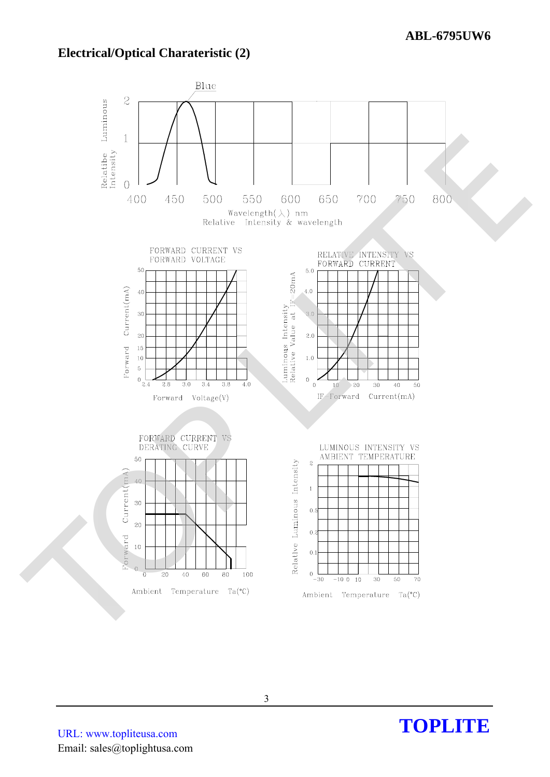### **Electrical/Optical Charateristic (2)**



URL: www.topliteusa.com Email: sales@toplightusa.com

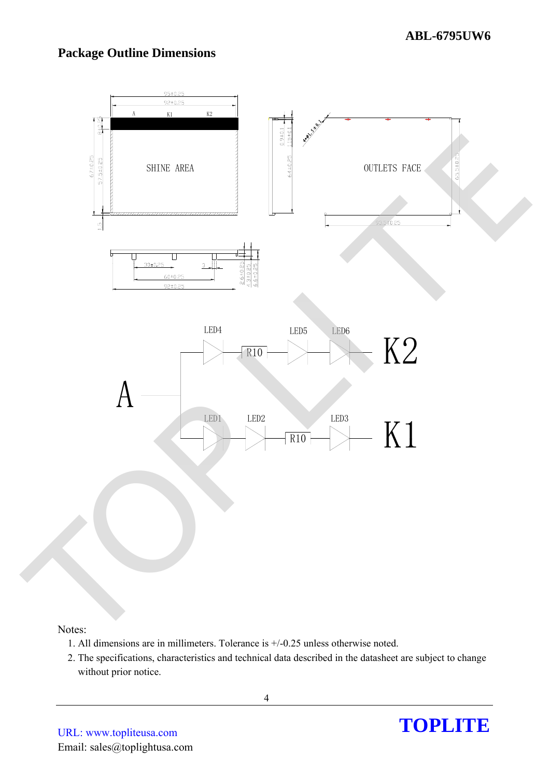### **Package Outline Dimensions**



#### Notes:

- 1. All dimensions are in millimeters. Tolerance is +/-0.25 unless otherwise noted.
- 2. The specifications, characteristics and technical data described in the datasheet are subject to change without prior notice.